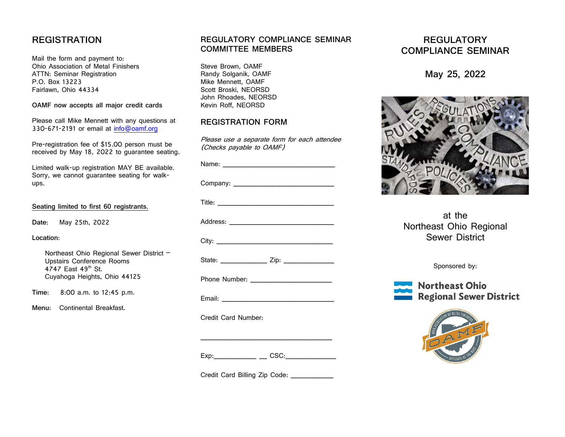# **REGISTRATION**

Mail the form and payment to: Ohio Association of Metal Finishers ATTN: Seminar Registration P.O. Box 13223 Fairlawn, Ohio 44334

**OAMF now accepts all major credit cards**

Please call Mike Mennett with any questions at 330-671-2191 or email at [info@oamf.org](mailto:info@oamf.org) 

Pre-registration fee of \$15.00 person must be received by May 18, 2022 to guarantee seating.

Limited walk-up registration MAY BE available. Sorry, we cannot guarantee seating for walkups.

**Seating limited to first 60 registrants.**

**Date**: May 25th, 2022

**Location**:

Northeast Ohio Regional Sewer District – Upstairs Conference Rooms 4747 East 49<sup>th</sup> St. Cuyahoga Heights, Ohio 44125

**Time**: 8:00 a.m. to 12:45 p.m.

**Menu**: Continental Breakfast.

### **REGULATORY COMPLIANCE SEMINAR COMMITTEE MEMBERS**

Steve Brown, OAMF Randy Solganik, OAMF Mike Mennett, OAMF Scott Broski, NEORSD John Rhoades, NEORSD Kevin Roff, NEORSD

#### **REGISTRATION FORM**

Please use a separate form for each attendee (Checks payable to OAMF)

|                                            | State: ________________ Zip: _______________ |
|--------------------------------------------|----------------------------------------------|
| Phone Number: ____________________________ |                                              |
|                                            |                                              |
| Credit Card Number:                        |                                              |
|                                            |                                              |
|                                            | Exp:_____________ ___ CSC:_______________    |

Credit Card Billing Zip Code: \_\_\_\_\_\_\_\_\_\_\_\_

## **REGULATORY COMPLIANCE SEMINAR**

**May 25, 2022**



at the Northeast Ohio Regional Sewer District

Sponsored by: